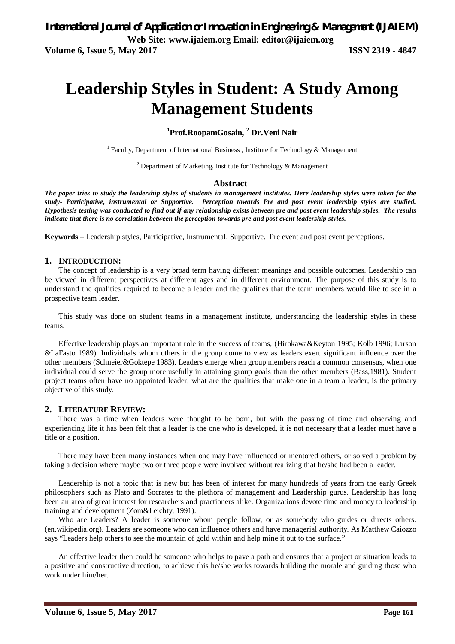**Volume 6, Issue 5, May 2017 ISSN 2319 - 4847** 

# **Leadership Styles in Student: A Study Among Management Students**

**<sup>1</sup>Prof.RoopamGosain, <sup>2</sup> Dr.Veni Nair**

<sup>1</sup> Faculty, Department of International Business, Institute for Technology & Management

<sup>2</sup> Department of Marketing, Institute for Technology & Management

#### **Abstract**

*The paper tries to study the leadership styles of students in management institutes. Here leadership styles were taken for the study- Participative, instrumental or Supportive. Perception towards Pre and post event leadership styles are studied. Hypothesis testing was conducted to find out if any relationship exists between pre and post event leadership styles. The results indicate that there is no correlation between the perception towards pre and post event leadership styles.* 

**Keywords** – Leadership styles, Participative, Instrumental, Supportive. Pre event and post event perceptions.

#### **1. INTRODUCTION:**

The concept of leadership is a very broad term having different meanings and possible outcomes. Leadership can be viewed in different perspectives at different ages and in different environment. The purpose of this study is to understand the qualities required to become a leader and the qualities that the team members would like to see in a prospective team leader.

This study was done on student teams in a management institute, understanding the leadership styles in these teams.

Effective leadership plays an important role in the success of teams, (Hirokawa&Keyton 1995; Kolb 1996; Larson &LaFasto 1989). Individuals whom others in the group come to view as leaders exert significant influence over the other members (Schneier&Goktepe 1983). Leaders emerge when group members reach a common consensus, when one individual could serve the group more usefully in attaining group goals than the other members (Bass,1981). Student project teams often have no appointed leader, what are the qualities that make one in a team a leader, is the primary objective of this study.

#### **2. LITERATURE REVIEW:**

There was a time when leaders were thought to be born, but with the passing of time and observing and experiencing life it has been felt that a leader is the one who is developed, it is not necessary that a leader must have a title or a position.

There may have been many instances when one may have influenced or mentored others, or solved a problem by taking a decision where maybe two or three people were involved without realizing that he/she had been a leader.

Leadership is not a topic that is new but has been of interest for many hundreds of years from the early Greek philosophers such as Plato and Socrates to the plethora of management and Leadership gurus. Leadership has long been an area of great interest for researchers and practioners alike. Organizations devote time and money to leadership training and development (Zom&Leichty, 1991).

Who are Leaders? A leader is someone whom people follow, or as somebody who guides or directs others. (en.wikipedia.org). Leaders are someone who can influence others and have managerial authority. As Matthew Caiozzo says "Leaders help others to see the mountain of gold within and help mine it out to the surface."

An effective leader then could be someone who helps to pave a path and ensures that a project or situation leads to a positive and constructive direction, to achieve this he/she works towards building the morale and guiding those who work under him/her.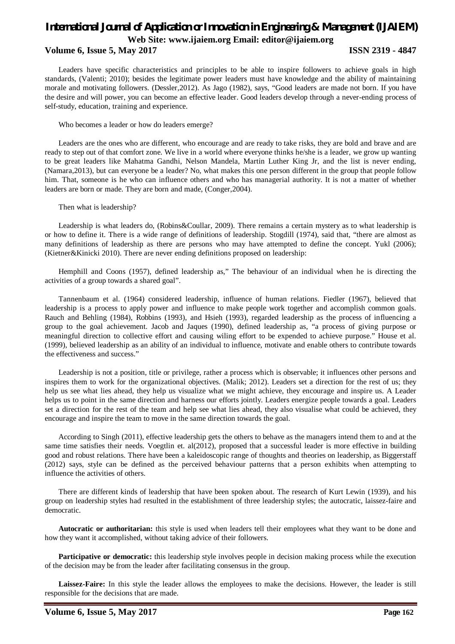Leaders have specific characteristics and principles to be able to inspire followers to achieve goals in high standards, (Valenti; 2010); besides the legitimate power leaders must have knowledge and the ability of maintaining morale and motivating followers. (Dessler,2012). As Jago (1982), says, "Good leaders are made not born. If you have the desire and will power, you can become an effective leader. Good leaders develop through a never-ending process of self-study, education, training and experience.

Who becomes a leader or how do leaders emerge?

Leaders are the ones who are different, who encourage and are ready to take risks, they are bold and brave and are ready to step out of that comfort zone. We live in a world where everyone thinks he/she is a leader, we grow up wanting to be great leaders like Mahatma Gandhi, Nelson Mandela, Martin Luther King Jr, and the list is never ending, (Namara,2013), but can everyone be a leader? No, what makes this one person different in the group that people follow him. That, someone is he who can influence others and who has managerial authority. It is not a matter of whether leaders are born or made. They are born and made, (Conger,2004).

Then what is leadership?

Leadership is what leaders do, (Robins&Coullar, 2009). There remains a certain mystery as to what leadership is or how to define it. There is a wide range of definitions of leadership. Stogdill (1974), said that, "there are almost as many definitions of leadership as there are persons who may have attempted to define the concept. Yukl (2006); (Kietner&Kinicki 2010). There are never ending definitions proposed on leadership:

Hemphill and Coons (1957), defined leadership as," The behaviour of an individual when he is directing the activities of a group towards a shared goal".

Tannenbaum et al. (1964) considered leadership, influence of human relations. Fiedler (1967), believed that leadership is a process to apply power and influence to make people work together and accomplish common goals. Rauch and Behling (1984), Robbins (1993), and Hsieh (1993), regarded leadership as the process of influencing a group to the goal achievement. Jacob and Jaques (1990), defined leadership as, "a process of giving purpose or meaningful direction to collective effort and causing wiling effort to be expended to achieve purpose." House et al. (1999), believed leadership as an ability of an individual to influence, motivate and enable others to contribute towards the effectiveness and success."

Leadership is not a position, title or privilege, rather a process which is observable; it influences other persons and inspires them to work for the organizational objectives. (Malik; 2012). Leaders set a direction for the rest of us; they help us see what lies ahead, they help us visualize what we might achieve, they encourage and inspire us. A Leader helps us to point in the same direction and harness our efforts jointly. Leaders energize people towards a goal. Leaders set a direction for the rest of the team and help see what lies ahead, they also visualise what could be achieved, they encourage and inspire the team to move in the same direction towards the goal.

According to Singh (2011), effective leadership gets the others to behave as the managers intend them to and at the same time satisfies their needs. Voegtlin et. al(2012), proposed that a successful leader is more effective in building good and robust relations. There have been a kaleidoscopic range of thoughts and theories on leadership, as Biggerstaff (2012) says, style can be defined as the perceived behaviour patterns that a person exhibits when attempting to influence the activities of others.

There are different kinds of leadership that have been spoken about. The research of Kurt Lewin (1939), and his group on leadership styles had resulted in the establishment of three leadership styles; the autocratic, laissez-faire and democratic.

**Autocratic or authoritarian:** this style is used when leaders tell their employees what they want to be done and how they want it accomplished, without taking advice of their followers.

**Participative or democratic:** this leadership style involves people in decision making process while the execution of the decision may be from the leader after facilitating consensus in the group.

**Laissez-Faire:** In this style the leader allows the employees to make the decisions. However, the leader is still responsible for the decisions that are made.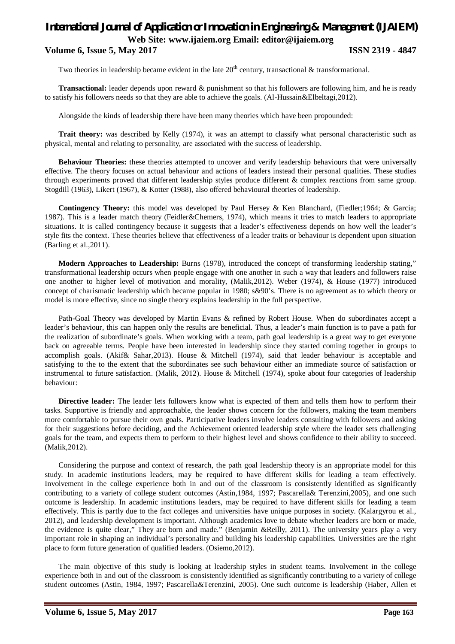Two theories in leadership became evident in the late  $20<sup>th</sup>$  century, transactional & transformational.

**Transactional:** leader depends upon reward & punishment so that his followers are following him, and he is ready to satisfy his followers needs so that they are able to achieve the goals. (Al-Hussain&Elbeltagi,2012).

Alongside the kinds of leadership there have been many theories which have been propounded:

**Trait theory:** was described by Kelly (1974), it was an attempt to classify what personal characteristic such as physical, mental and relating to personality, are associated with the success of leadership.

**Behaviour Theories:** these theories attempted to uncover and verify leadership behaviours that were universally effective. The theory focuses on actual behaviour and actions of leaders instead their personal qualities. These studies through experiments proved that different leadership styles produce different & complex reactions from same group. Stogdill (1963), Likert (1967), & Kotter (1988), also offered behavioural theories of leadership.

**Contingency Theory:** this model was developed by Paul Hersey & Ken Blanchard, (Fiedler;1964; & Garcia; 1987). This is a leader match theory (Feidler&Chemers, 1974), which means it tries to match leaders to appropriate situations. It is called contingency because it suggests that a leader's effectiveness depends on how well the leader's style fits the context. These theories believe that effectiveness of a leader traits or behaviour is dependent upon situation (Barling et al.,2011).

**Modern Approaches to Leadership:** Burns (1978), introduced the concept of transforming leadership stating," transformational leadership occurs when people engage with one another in such a way that leaders and followers raise one another to higher level of motivation and morality, (Malik,2012). Weber (1974), & House (1977) introduced concept of charismatic leadership which became popular in 1980; s&90's. There is no agreement as to which theory or model is more effective, since no single theory explains leadership in the full perspective.

Path-Goal Theory was developed by Martin Evans & refined by Robert House. When do subordinates accept a leader's behaviour, this can happen only the results are beneficial. Thus, a leader's main function is to pave a path for the realization of subordinate's goals. When working with a team, path goal leadership is a great way to get everyone back on agreeable terms. People have been interested in leadership since they started coming together in groups to accomplish goals. (Akif& Sahar,2013). House & Mitchell (1974), said that leader behaviour is acceptable and satisfying to the to the extent that the subordinates see such behaviour either an immediate source of satisfaction or instrumental to future satisfaction. (Malik, 2012). House & Mitchell (1974), spoke about four categories of leadership behaviour:

**Directive leader:** The leader lets followers know what is expected of them and tells them how to perform their tasks. Supportive is friendly and approachable, the leader shows concern for the followers, making the team members more comfortable to pursue their own goals. Participative leaders involve leaders consulting with followers and asking for their suggestions before deciding, and the Achievement oriented leadership style where the leader sets challenging goals for the team, and expects them to perform to their highest level and shows confidence to their ability to succeed. (Malik,2012).

Considering the purpose and context of research, the path goal leadership theory is an appropriate model for this study. In academic institutions leaders, may be required to have different skills for leading a team effectively. Involvement in the college experience both in and out of the classroom is consistently identified as significantly contributing to a variety of college student outcomes (Astin,1984, 1997; Pascarella& Terenzini,2005), and one such outcome is leadership. In academic institutions leaders, may be required to have different skills for leading a team effectively. This is partly due to the fact colleges and universities have unique purposes in society. (Kalargyrou et al., 2012), and leadership development is important. Although academics love to debate whether leaders are born or made, the evidence is quite clear," They are born and made." (Benjamin &Reilly, 2011). The university years play a very important role in shaping an individual's personality and building his leadership capabilities. Universities are the right place to form future generation of qualified leaders. (Osiemo,2012).

The main objective of this study is looking at leadership styles in student teams. Involvement in the college experience both in and out of the classroom is consistently identified as significantly contributing to a variety of college student outcomes (Astin, 1984, 1997; Pascarella&Terenzini, 2005). One such outcome is leadership (Haber, Allen et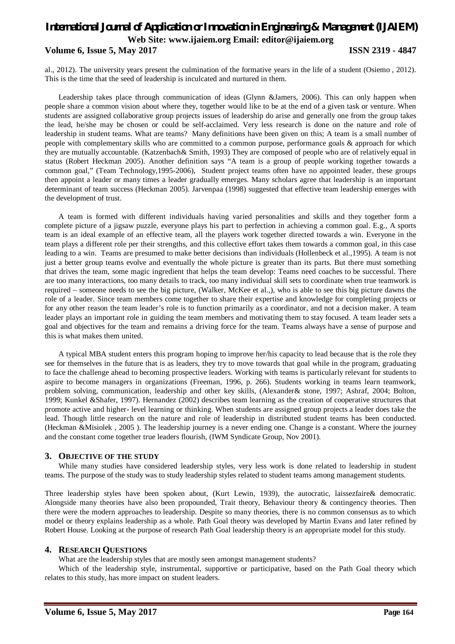al., 2012). The university years present the culmination of the formative years in the life of a student (Osiemo , 2012). This is the time that the seed of leadership is inculcated and nurtured in them.

Leadership takes place through communication of ideas (Glynn &Jamers, 2006). This can only happen when people share a common vision about where they, together would like to be at the end of a given task or venture. When students are assigned collaborative group projects issues of leadership do arise and generally one from the group takes the lead, he/she may be chosen or could be self-acclaimed. Very less research is done on the nature and role of leadership in student teams. What are teams? Many definitions have been given on this; A team is a small number of people with complementary skills who are committed to a common purpose, performance goals & approach for which they are mutually accountable. (Katzenbach& Smith, 1993) They are composed of people who are of relatively equal in status (Robert Heckman 2005). Another definition says "A team is a group of people working together towards a common goal," (Team Technology,1995-2006), Student project teams often have no appointed leader, these groups then appoint a leader or many times a leader gradually emerges. Many scholars agree that leadership is an important determinant of team success (Heckman 2005). Jarvenpaa (1998) suggested that effective team leadership emerges with the development of trust.

A team is formed with different individuals having varied personalities and skills and they together form a complete picture of a jigsaw puzzle, everyone plays his part to perfection in achieving a common goal. E.g., A sports team is an ideal example of an effective team, all the players work together directed towards a win. Everyone in the team plays a different role per their strengths, and this collective effort takes them towards a common goal, in this case leading to a win. Teams are presumed to make better decisions than individuals (Hollenbeck et al.,1995). A team is not just a better group teams evolve and eventually the whole picture is greater than its parts. But there must something that drives the team, some magic ingredient that helps the team develop: Teams need coaches to be successful. There are too many interactions, too many details to track, too many individual skill sets to coordinate when true teamwork is required – someone needs to see the big picture, (Walker, McKee et al.,), who is able to see this big picture dawns the role of a leader. Since team members come together to share their expertise and knowledge for completing projects or for any other reason the team leader's role is to function primarily as a coordinator, and not a decision maker. A team leader plays an important role in guiding the team members and motivating them to stay focused. A team leader sets a goal and objectives for the team and remains a driving force for the team. Teams always have a sense of purpose and this is what makes them united.

A typical MBA student enters this program hoping to improve her/his capacity to lead because that is the role they see for themselves in the future that is as leaders, they try to move towards that goal while in the program, graduating to face the challenge ahead to becoming prospective leaders. Working with teams is particularly relevant for students to aspire to become managers in organizations (Freeman, 1996, p. 266). Students working in teams learn teamwork, problem solving, communication, leadership and other key skills, (Alexander& stone, 1997; Ashraf, 2004; Bolton, 1999; Kunkel &Shafer, 1997). Hernandez (2002) describes team learning as the creation of cooperative structures that promote active and higher- level learning or thinking. When students are assigned group projects a leader does take the lead. Though little research on the nature and role of leadership in distributed student teams has been conducted. (Heckman &Misiolek , 2005 ). The leadership journey is a never ending one. Change is a constant. Where the journey and the constant come together true leaders flourish, (IWM Syndicate Group, Nov 2001).

### **3. OBJECTIVE OF THE STUDY**

While many studies have considered leadership styles, very less work is done related to leadership in student teams. The purpose of the study was to study leadership styles related to student teams among management students.

Three leadership styles have been spoken about, (Kurt Lewin, 1939), the autocratic, laissezfaire& democratic. Alongside many theories have also been propounded, Trait theory, Behaviour theory & contingency theories. Then there were the modern approaches to leadership. Despite so many theories, there is no common consensus as to which model or theory explains leadership as a whole. Path Goal theory was developed by Martin Evans and later refined by Robert House. Looking at the purpose of research Path Goal leadership theory is an appropriate model for this study.

### **4. RESEARCH QUESTIONS**

What are the leadership styles that are mostly seen amongst management students?

Which of the leadership style, instrumental, supportive or participative, based on the Path Goal theory which relates to this study, has more impact on student leaders.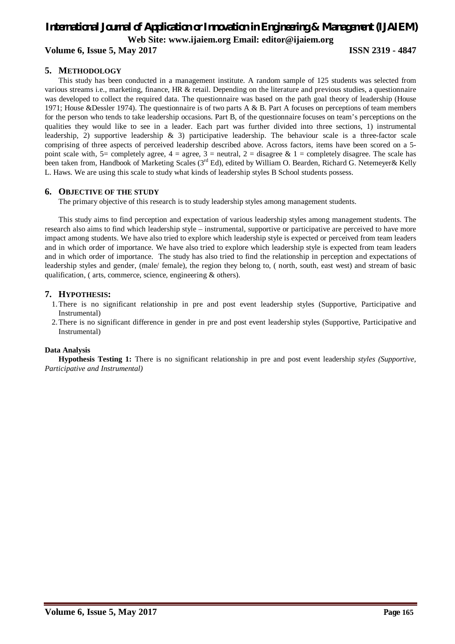# *International Journal of Application or Innovation in Engineering & Management (IJAIEM)* **Web Site: www.ijaiem.org Email: editor@ijaiem.org**

**Volume 6, Issue 5, May 2017 ISSN 2319 - 4847**

### **5. METHODOLOGY**

This study has been conducted in a management institute. A random sample of 125 students was selected from various streams i.e., marketing, finance, HR & retail. Depending on the literature and previous studies, a questionnaire was developed to collect the required data. The questionnaire was based on the path goal theory of leadership (House 1971; House &Dessler 1974). The questionnaire is of two parts A & B. Part A focuses on perceptions of team members for the person who tends to take leadership occasions. Part B, of the questionnaire focuses on team's perceptions on the qualities they would like to see in a leader. Each part was further divided into three sections, 1) instrumental leadership, 2) supportive leadership & 3) participative leadership. The behaviour scale is a three-factor scale comprising of three aspects of perceived leadership described above. Across factors, items have been scored on a 5 point scale with, 5= completely agree,  $4 =$  agree,  $3 =$  neutral,  $2 =$  disagree &  $1 =$  completely disagree. The scale has been taken from, Handbook of Marketing Scales (3<sup>rd</sup> Ed), edited by William O. Bearden, Richard G. Netemeyer& Kelly L. Haws. We are using this scale to study what kinds of leadership styles B School students possess.

#### **6. OBJECTIVE OF THE STUDY**

The primary objective of this research is to study leadership styles among management students.

This study aims to find perception and expectation of various leadership styles among management students. The research also aims to find which leadership style – instrumental, supportive or participative are perceived to have more impact among students. We have also tried to explore which leadership style is expected or perceived from team leaders and in which order of importance. We have also tried to explore which leadership style is expected from team leaders and in which order of importance. The study has also tried to find the relationship in perception and expectations of leadership styles and gender, (male/ female), the region they belong to, ( north, south, east west) and stream of basic qualification, ( arts, commerce, science, engineering & others).

#### **7. HYPOTHESIS:**

- 1.There is no significant relationship in pre and post event leadership styles (Supportive, Participative and Instrumental)
- 2.There is no significant difference in gender in pre and post event leadership styles (Supportive, Participative and Instrumental)

#### **Data Analysis**

**Hypothesis Testing 1:** There is no significant relationship in pre and post event leadership *styles (Supportive, Participative and Instrumental)*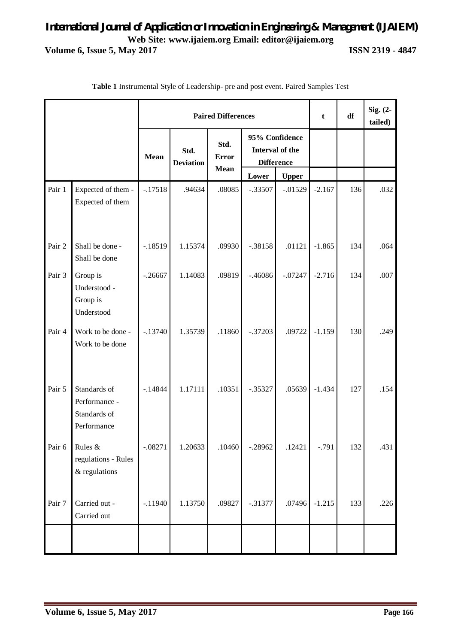| <b>Paired Differences</b> |                                                              |             |                          |                                     |                                                        |              |          | df  | Sig. (2-<br>tailed) |
|---------------------------|--------------------------------------------------------------|-------------|--------------------------|-------------------------------------|--------------------------------------------------------|--------------|----------|-----|---------------------|
|                           |                                                              | <b>Mean</b> | Std.<br><b>Deviation</b> | Std.<br><b>Error</b><br><b>Mean</b> | 95% Confidence<br>Interval of the<br><b>Difference</b> |              |          |     |                     |
|                           |                                                              |             |                          |                                     | Lower                                                  | <b>Upper</b> |          |     |                     |
| Pair 1                    | Expected of them -<br>Expected of them                       | $-.17518$   | .94634                   | .08085                              | $-.33507$                                              | $-.01529$    | $-2.167$ | 136 | .032                |
| Pair 2                    | Shall be done -<br>Shall be done                             | $-.18519$   | 1.15374                  | .09930                              | $-.38158$                                              | .01121       | $-1.865$ | 134 | .064                |
| Pair 3                    | Group is<br>Understood -<br>Group is<br>Understood           | $-.26667$   | 1.14083                  | .09819                              | $-.46086$                                              | $-.07247$    | $-2.716$ | 134 | .007                |
| Pair 4                    | Work to be done -<br>Work to be done                         | $-.13740$   | 1.35739                  | .11860                              | $-.37203$                                              | .09722       | $-1.159$ | 130 | .249                |
| Pair 5                    | Standards of<br>Performance -<br>Standards of<br>Performance | $-14844$    | 1.17111                  | .10351                              | $-.35327$                                              | .05639       | $-1.434$ | 127 | .154                |
| Pair 6                    | Rules &<br>regulations - Rules<br>& regulations              | $-.08271$   | 1.20633                  | .10460                              | $-.28962$                                              | .12421       | $-.791$  | 132 | .431                |
| Pair 7                    | Carried out -<br>Carried out                                 | $-.11940$   | 1.13750                  | .09827                              | $-.31377$                                              | .07496       | $-1.215$ | 133 | .226                |
|                           |                                                              |             |                          |                                     |                                                        |              |          |     |                     |

**Table 1** Instrumental Style of Leadership- pre and post event. Paired Samples Test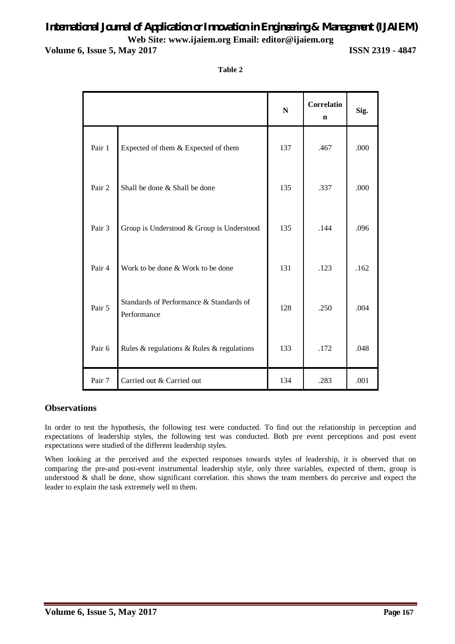# *International Journal of Application or Innovation in Engineering & Management (IJAIEM)* **Web Site: www.ijaiem.org Email: editor@ijaiem.org**

**Volume 6, Issue 5, May 2017 ISSN 2319 - 4847**

| п<br>ш |  |
|--------|--|
|--------|--|

|        |                                                        | ${\bf N}$ | Correlatio<br>$\mathbf n$ | Sig. |
|--------|--------------------------------------------------------|-----------|---------------------------|------|
| Pair 1 | Expected of them & Expected of them                    | 137       | .467                      | .000 |
| Pair 2 | Shall be done & Shall be done                          | 135       | .337                      | .000 |
| Pair 3 | Group is Understood & Group is Understood              | 135       | .144                      | .096 |
| Pair 4 | Work to be done & Work to be done                      | 131       | .123                      | .162 |
| Pair 5 | Standards of Performance & Standards of<br>Performance | 128       | .250                      | .004 |
| Pair 6 | Rules & regulations & Rules & regulations              | 133       | .172                      | .048 |
| Pair 7 | Carried out & Carried out                              | 134       | .283                      | .001 |

### **Observations**

In order to test the hypothesis, the following test were conducted. To find out the relationship in perception and expectations of leadership styles, the following test was conducted. Both pre event perceptions and post event expectations were studied of the different leadership styles.

When looking at the perceived and the expected responses towards styles of leadership, it is observed that on comparing the pre-and post-event instrumental leadership style, only three variables, expected of them, group is understood & shall be done, show significant correlation. this shows the team members do perceive and expect the leader to explain the task extremely well to them.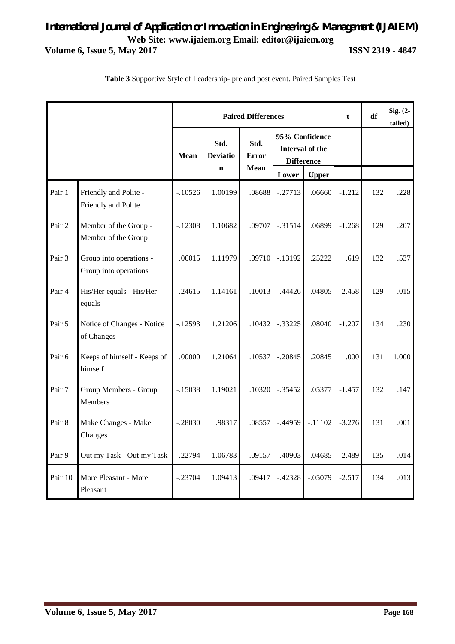|         |                                                  |             | <b>Paired Differences</b>              |                                     | $\mathbf t$                                            | df           | Sig. $(2-$<br>tailed) |     |       |
|---------|--------------------------------------------------|-------------|----------------------------------------|-------------------------------------|--------------------------------------------------------|--------------|-----------------------|-----|-------|
|         |                                                  | <b>Mean</b> | Std.<br><b>Deviatio</b><br>$\mathbf n$ | Std.<br><b>Error</b><br><b>Mean</b> | 95% Confidence<br>Interval of the<br><b>Difference</b> |              |                       |     |       |
|         |                                                  |             |                                        |                                     | Lower                                                  | <b>Upper</b> |                       |     |       |
| Pair 1  | Friendly and Polite -<br>Friendly and Polite     | $-.10526$   | 1.00199                                | .08688                              | $-.27713$                                              | .06660       | $-1.212$              | 132 | .228  |
| Pair 2  | Member of the Group -<br>Member of the Group     | $-.12308$   | 1.10682                                | .09707                              | $-0.31514$                                             | .06899       | $-1.268$              | 129 | .207  |
| Pair 3  | Group into operations -<br>Group into operations | .06015      | 1.11979                                | .09710                              | $-.13192$                                              | .25222       | .619                  | 132 | .537  |
| Pair 4  | His/Her equals - His/Her<br>equals               | $-.24615$   | 1.14161                                | .10013                              | $-0.44426$                                             | $-.04805$    | $-2.458$              | 129 | .015  |
| Pair 5  | Notice of Changes - Notice<br>of Changes         | $-12593$    | 1.21206                                | .10432                              | $-.33225$                                              | .08040       | $-1.207$              | 134 | .230  |
| Pair 6  | Keeps of himself - Keeps of<br>himself           | .00000      | 1.21064                                | .10537                              | $-.20845$                                              | .20845       | .000                  | 131 | 1.000 |
| Pair 7  | Group Members - Group<br><b>Members</b>          | $-.15038$   | 1.19021                                | .10320                              | $-.35452$                                              | .05377       | $-1.457$              | 132 | .147  |
| Pair 8  | Make Changes - Make<br>Changes                   | $-.28030$   | .98317                                 | .08557                              | $-.44959$                                              | $-.11102$    | $-3.276$              | 131 | .001  |
| Pair 9  | Out my Task - Out my Task                        | $-.22794$   | 1.06783                                | .09157                              | $-.40903$                                              | $-.04685$    | $-2.489$              | 135 | .014  |
| Pair 10 | More Pleasant - More<br>Pleasant                 | $-.23704$   | 1.09413                                | .09417                              | $-.42328$                                              | $-.05079$    | $-2.517$              | 134 | .013  |

**Table 3** Supportive Style of Leadership- pre and post event. Paired Samples Test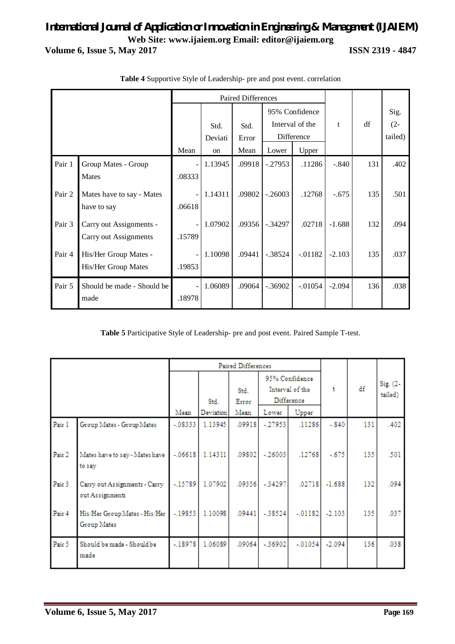|        | Paired Differences                               |                                    |                       |                       |                                                                   |           |          |     |                           |
|--------|--------------------------------------------------|------------------------------------|-----------------------|-----------------------|-------------------------------------------------------------------|-----------|----------|-----|---------------------------|
|        |                                                  | Mean                               | Std.<br>Deviati<br>on | Std.<br>Error<br>Mean | 95% Confidence<br>Interval of the<br>Difference<br>Upper<br>Lower |           | t        | df  | Sig.<br>$(2 -$<br>tailed) |
| Pair 1 | Group Mates - Group<br>Mates                     | $\overline{\phantom{a}}$<br>.08333 | 1.13945               | .09918                | $-.27953$                                                         | .11286    | $-.840$  | 131 | .402                      |
| Pair 2 | Mates have to say - Mates<br>have to say         | .06618                             | 1.14311               | .09802                | $-.26003$                                                         | .12768    | $-.675$  | 135 | .501                      |
| Pair 3 | Carry out Assignments -<br>Carry out Assignments | .15789                             | 1.07902               | .09356                | $-.34297$                                                         | .02718    | $-1.688$ | 132 | .094                      |
| Pair 4 | His/Her Group Mates -<br>His/Her Group Mates     | .19853                             | 1.10098               | .09441                | $-.38524$                                                         | $-.01182$ | $-2.103$ | 135 | .037                      |
| Pair 5 | Should be made - Should be<br>made               | $\overline{\phantom{a}}$<br>.18978 | 1.06089               | .09064                | $-.36902$                                                         | $-.01054$ | $-2.094$ | 136 | .038                      |

**Table 4** Supportive Style of Leadership- pre and post event. correlation

**Table 5** Participative Style of Leadership- pre and post event. Paired Sample T-test.

|        |                                                  | Paired Differences |                          |                       |                                                                   |           |          |     |                     |
|--------|--------------------------------------------------|--------------------|--------------------------|-----------------------|-------------------------------------------------------------------|-----------|----------|-----|---------------------|
|        |                                                  | Mean               | Std.<br><b>Deviation</b> | Std.<br>Error<br>Mean | 95% Confidence<br>Interval of the<br>Difference<br>Upper<br>Lower |           | ŧ        | df  | Sig. (2-<br>tailed) |
| Pair 1 | Group Mates - Group Mates                        | $-.08333$          | 1.13945                  | .09918                | $-.27953$                                                         | .11286    | $-.840$  | 131 | .402                |
| Pair 2 | Mates have to say - Mates have<br>to say         | $-.06618$          | 1.14311                  | .09802                | $-.26003$                                                         | .12768    | $-.675$  | 135 | .501                |
| Pair 3 | Carry out Assignments - Carry<br>out Assignments | $-15789$           | 1.07902                  | .09356                | $-.34297$                                                         | .02718    | $-1.688$ | 132 | .094                |
| Pair 4 | His/Her Group Mates - His/Her<br>Group Mates     | $-.19853$          | 1.10098                  | .09441                | $-.38524$                                                         | $-.01182$ | $-2.103$ | 135 | .037                |
| Pair 5 | Should be made - Should be<br>made               | $-.18978$          | 1.06089                  | .09064                | $-.36902$                                                         | $-.01054$ | $-2.094$ | 136 | .038                |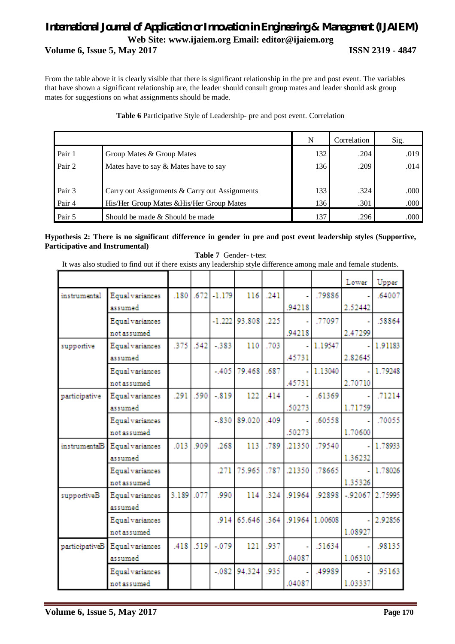From the table above it is clearly visible that there is significant relationship in the pre and post event. The variables that have shown a significant relationship are, the leader should consult group mates and leader should ask group mates for suggestions on what assignments should be made.

|        |                                               | N   | Correlation | Sig.  |
|--------|-----------------------------------------------|-----|-------------|-------|
| Pair 1 | Group Mates & Group Mates                     | 132 | .204        | .019  |
| Pair 2 | Mates have to say & Mates have to say         | 136 | .209        | .014  |
|        |                                               |     |             |       |
| Pair 3 | Carry out Assignments & Carry out Assignments | 133 | .324        | .000. |
| Pair 4 | His/Her Group Mates & His/Her Group Mates     | 136 | .301        | .000  |
| Pair 5 | Should be made & Should be made               | 137 | .296        | .000  |

### **Table 6** Participative Style of Leadership- pre and post event. Correlation

#### **Hypothesis 2: There is no significant difference in gender in pre and post event leadership styles (Supportive, Participative and Instrumental) Table 7** Gender- t-test

It was also studied to find out if there exists any leadership style difference among male and female students.

|                |                 |       |      |                 |                 |      |        |                | Lower            | Upper   |
|----------------|-----------------|-------|------|-----------------|-----------------|------|--------|----------------|------------------|---------|
| instrumental   | Equal variances | .180  |      | $.672$ $-1.179$ | 116             | .241 |        | .79886         |                  | .64007  |
|                | assumed         |       |      |                 |                 |      | .94218 |                | 2.52442          |         |
|                | Equal variances |       |      |                 | $-1.222$ 93.808 | .225 |        | .77097         |                  | .58864  |
|                | notassumed      |       |      |                 |                 |      | .94218 |                | 2.47299          |         |
| supportive     | Equal variances | .375  | .542 | $-383$          | 110             | .703 |        | 1.19547        |                  | 1.91183 |
|                | assumed         |       |      |                 |                 |      | .45731 |                | 2.82645          |         |
|                | Equal variances |       |      | $-405$          | 79.468          | .687 |        | 1.13040        |                  | 1.79248 |
|                | notassumed      |       |      |                 |                 |      | .45731 |                | 2.70710          |         |
| participative  | Equal variances | .291  | .590 | $-.819$         | 122             | .414 |        | .61369         |                  | .71214  |
|                | assumed         |       |      |                 |                 |      | .50273 |                | 1.71759          |         |
|                | Equal variances |       |      | $-830$          | 89.020          | .409 |        | .60558         |                  | .70055  |
|                | notassumed      |       |      |                 |                 |      | .50273 |                | 1.70600          |         |
| instrumentalB  | Equal variances | .013  | .909 | .268            | 113             | .789 | .21350 | .79540         |                  | 1.78933 |
|                | assumed         |       |      |                 |                 |      |        |                | 1.36232          |         |
|                | Equal variances |       |      | .271            | 75.965          | .787 | .21350 | .78665         |                  | 1.78026 |
|                | notassumed      |       |      |                 |                 |      |        |                | 1.35326          |         |
| supportiveB    | Equal variances | 3.189 | .077 | .990            | 114             | .324 | .91964 | .92898         | $-92067$ 2.75995 |         |
|                | assumed         |       |      |                 |                 |      |        |                |                  |         |
|                | Equal variances |       |      | .914            | 65.646          | .364 |        | .91964 1.00608 |                  | 2.92856 |
|                | notassumed      |       |      |                 |                 |      |        |                | 1.08927          |         |
| participativeB | Equal variances | .418  | .519 | $-.079$         | 121             | .937 |        | .51634         |                  | .98135  |
|                | assumed         |       |      |                 |                 |      | .04087 |                | 1.06310          |         |
|                | Equal variances |       |      | $-.082$         | 94.324          | .935 |        | .49989         |                  | .95163  |
|                | notassumed      |       |      |                 |                 |      | .04087 |                | 1.03337          |         |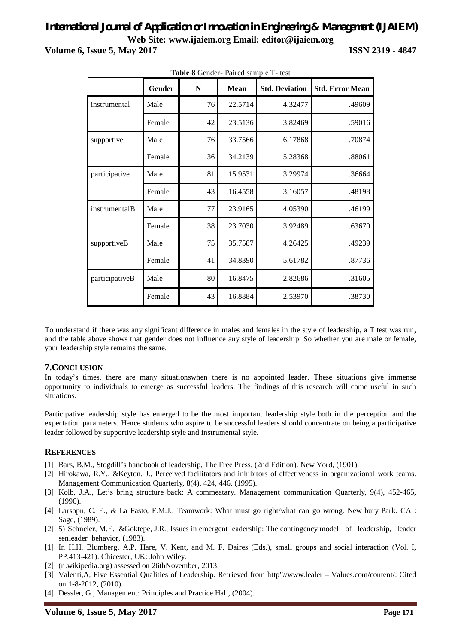# *International Journal of Application or Innovation in Engineering & Management (IJAIEM)* **Web Site: www.ijaiem.org Email: editor@ijaiem.org**

**Volume 6, Issue 5, May 2017 ISSN 2319 - 4847**

| <b>Table o</b> Genuel-Falled sample 1- lest |        |           |             |                       |                        |  |  |  |  |  |  |
|---------------------------------------------|--------|-----------|-------------|-----------------------|------------------------|--|--|--|--|--|--|
|                                             | Gender | ${\bf N}$ | <b>Mean</b> | <b>Std. Deviation</b> | <b>Std. Error Mean</b> |  |  |  |  |  |  |
| instrumental                                | Male   | 76        | 22.5714     | 4.32477               | .49609                 |  |  |  |  |  |  |
|                                             | Female | 42        | 23.5136     | 3.82469               | .59016                 |  |  |  |  |  |  |
| supportive                                  | Male   | 76        | 33.7566     | 6.17868               | .70874                 |  |  |  |  |  |  |
|                                             | Female | 36        | 34.2139     | 5.28368               | .88061                 |  |  |  |  |  |  |
| participative                               | Male   | 81        | 15.9531     | 3.29974               | .36664                 |  |  |  |  |  |  |
|                                             | Female | 43        | 16.4558     | 3.16057               | .48198                 |  |  |  |  |  |  |
| instrumentalB                               | Male   | 77        | 23.9165     | 4.05390               | .46199                 |  |  |  |  |  |  |
|                                             | Female | 38        | 23.7030     | 3.92489               | .63670                 |  |  |  |  |  |  |
| supportiveB                                 | Male   | 75        | 35.7587     | 4.26425               | .49239                 |  |  |  |  |  |  |
|                                             | Female | 41        | 34.8390     | 5.61782               | .87736                 |  |  |  |  |  |  |
| participativeB                              | Male   | 80        | 16.8475     | 2.82686               | .31605                 |  |  |  |  |  |  |
|                                             | Female | 43        | 16.8884     | 2.53970               | .38730                 |  |  |  |  |  |  |

**Table 8** Gender- Paired sample T- test

To understand if there was any significant difference in males and females in the style of leadership, a T test was run, and the table above shows that gender does not influence any style of leadership. So whether you are male or female, your leadership style remains the same.

#### **7.CONCLUSION**

In today's times, there are many situationswhen there is no appointed leader. These situations give immense opportunity to individuals to emerge as successful leaders. The findings of this research will come useful in such situations.

Participative leadership style has emerged to be the most important leadership style both in the perception and the expectation parameters. Hence students who aspire to be successful leaders should concentrate on being a participative leader followed by supportive leadership style and instrumental style.

### **REFERENCES**

- [1] Bars, B.M., Stogdill's handbook of leadership, The Free Press. (2nd Edition). New Yord, (1901).
- [2] Hirokawa, R.Y., &Keyton, J., Perceived facilitators and inhibitors of effectiveness in organizational work teams. Management Communication Quarterly, 8(4), 424, 446, (1995).
- [3] Kolb, J.A., Let's bring structure back: A commeatary. Management communication Quarterly, 9(4), 452-465, (1996).
- [4] Larsopn, C. E., & La Fasto, F.M.J., Teamwork: What must go right/what can go wrong. New bury Park. CA : Sage, (1989).
- [2] 5) Schneier, M.E. &Goktepe, J.R., Issues in emergent leadership: The contingency model of leadership, leader senleader behavior, (1983).
- [1] In H.H. Blumberg, A.P. Hare, V. Kent, and M. F. Daires (Eds.), small groups and social interaction (Vol. I, PP.413-421). Chicester, UK: John Wiley.
- [2] (n.wikipedia.org) assessed on 26thNovember, 2013.
- [3] Valenti,A, Five Essential Qualities of Leadership. Retrieved from http"//www.lealer Values.com/content/: Cited on 1-8-2012, (2010).
- [4] Dessler, G., Management: Principles and Practice Hall, (2004).